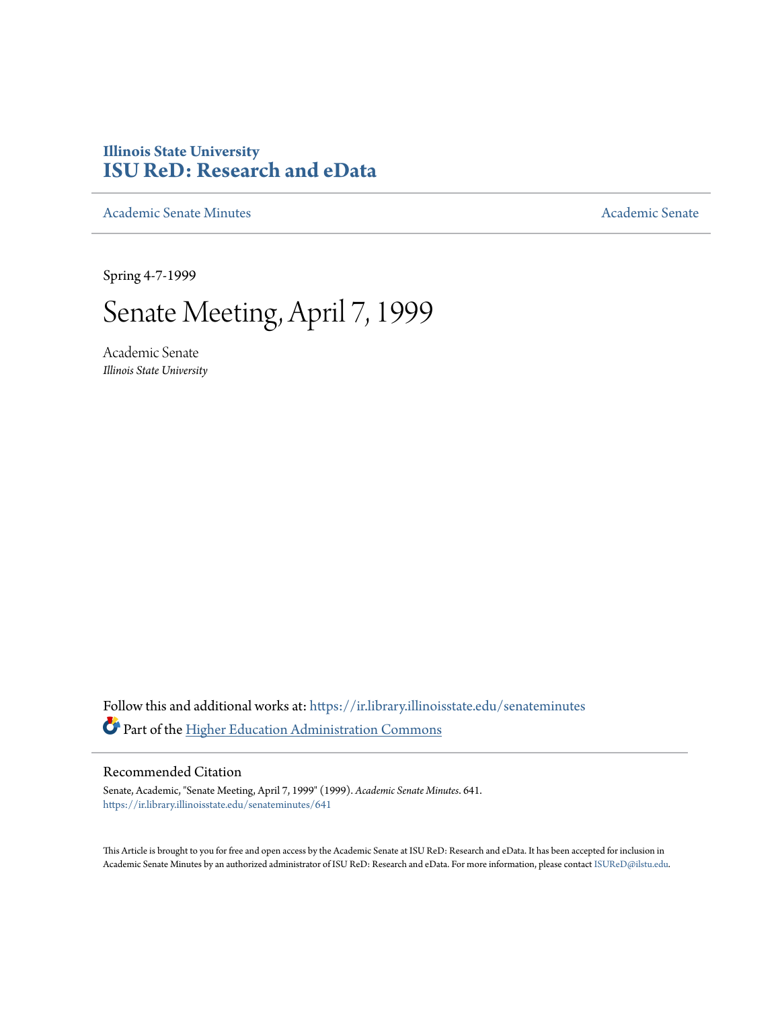## **Illinois State University [ISU ReD: Research and eData](https://ir.library.illinoisstate.edu?utm_source=ir.library.illinoisstate.edu%2Fsenateminutes%2F641&utm_medium=PDF&utm_campaign=PDFCoverPages)**

[Academic Senate Minutes](https://ir.library.illinoisstate.edu/senateminutes?utm_source=ir.library.illinoisstate.edu%2Fsenateminutes%2F641&utm_medium=PDF&utm_campaign=PDFCoverPages) [Academic Senate](https://ir.library.illinoisstate.edu/senate?utm_source=ir.library.illinoisstate.edu%2Fsenateminutes%2F641&utm_medium=PDF&utm_campaign=PDFCoverPages) Academic Senate

Spring 4-7-1999

# Senate Meeting, April 7, 1999

Academic Senate *Illinois State University*

Follow this and additional works at: [https://ir.library.illinoisstate.edu/senateminutes](https://ir.library.illinoisstate.edu/senateminutes?utm_source=ir.library.illinoisstate.edu%2Fsenateminutes%2F641&utm_medium=PDF&utm_campaign=PDFCoverPages) Part of the [Higher Education Administration Commons](http://network.bepress.com/hgg/discipline/791?utm_source=ir.library.illinoisstate.edu%2Fsenateminutes%2F641&utm_medium=PDF&utm_campaign=PDFCoverPages)

#### Recommended Citation

Senate, Academic, "Senate Meeting, April 7, 1999" (1999). *Academic Senate Minutes*. 641. [https://ir.library.illinoisstate.edu/senateminutes/641](https://ir.library.illinoisstate.edu/senateminutes/641?utm_source=ir.library.illinoisstate.edu%2Fsenateminutes%2F641&utm_medium=PDF&utm_campaign=PDFCoverPages)

This Article is brought to you for free and open access by the Academic Senate at ISU ReD: Research and eData. It has been accepted for inclusion in Academic Senate Minutes by an authorized administrator of ISU ReD: Research and eData. For more information, please contact [ISUReD@ilstu.edu.](mailto:ISUReD@ilstu.edu)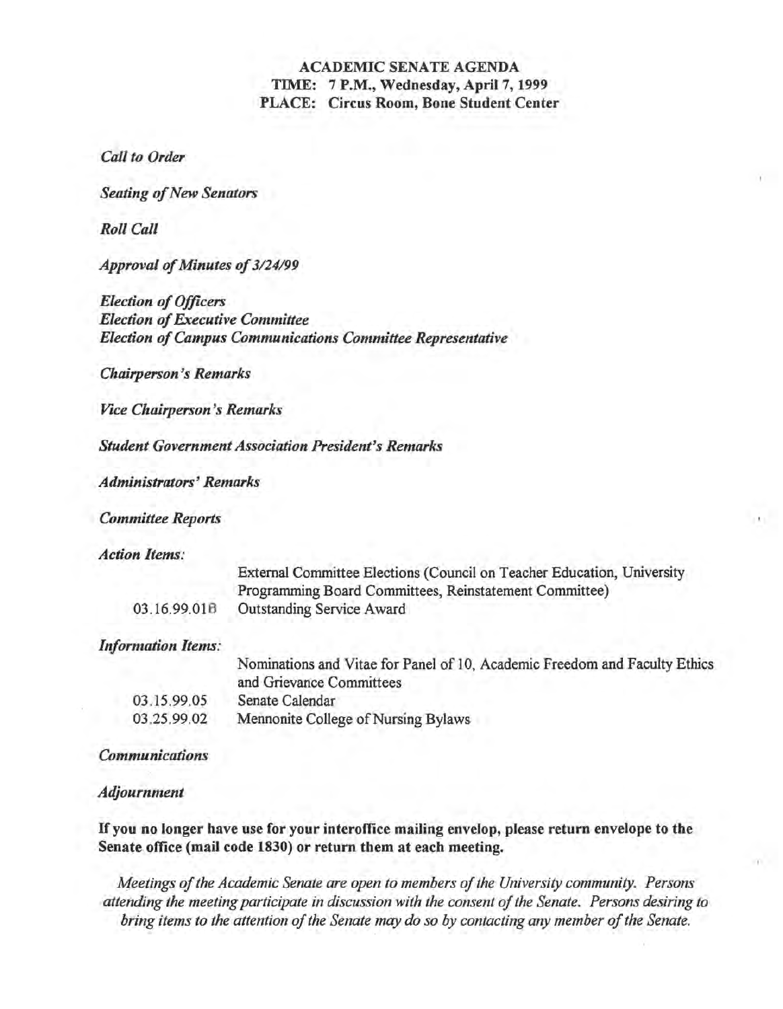## ACADEMIC SENATE AGENDA TIME: 7 P.M., Wednesday, April 7, 1999 PLACE: Circus Room, Bone Student Center

*Call to Order* 

*Seating of New Senators* 

*Roll Call* 

*Approval of Minutes of 3/24/99* 

*Election of Officers Election of Executive Committee Election of Campus Communications Committee Representative* 

*Chairperson's Remarks* 

*Vice Chairperson's Remarks* 

*Student Government Association President's Remarks* 

*Administrators' Remarks* 

*Committee Reports* 

*Action Items:* 

|              | External Committee Elections (Council on Teacher Education, University |
|--------------|------------------------------------------------------------------------|
|              | Programming Board Committees, Reinstatement Committee)                 |
| 03.16.99.01B | <b>Outstanding Service Award</b>                                       |

*Information Items:* 

|             | Nominations and Vitae for Panel of 10, Academic Freedom and Faculty Ethics<br>and Grievance Committees |
|-------------|--------------------------------------------------------------------------------------------------------|
| 03.15.99.05 | Senate Calendar                                                                                        |
| 03.25.99.02 | Mennonite College of Nursing Bylaws                                                                    |

*Communications* 

*Adjournment* 

If you no longer have use for your interoffice mailing envelop, please return envelope to the Senate office (mail code 1830) or return them at each meeting.

*Meetings of the Academic Senate are open to members of the University community. Persons*  attending the meeting participate in discussion with the consent of the Senate. Persons desiring to *bring items to the attention of the Senate may do so by contacting any member of the Senate.*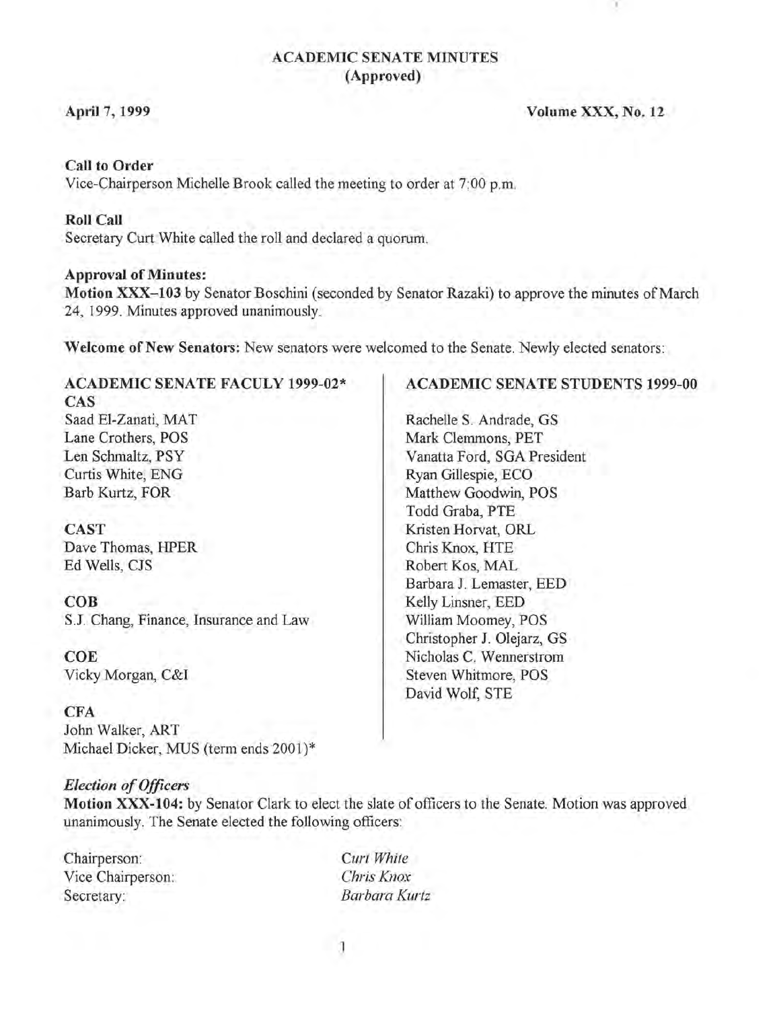## ACADEMIC SENATE MINUTES (Approved)

#### April 7, 1999

#### Volume XXX, No. 12

#### Call to Order

Vice-Chairperson Michelle Brook called the meeting to order at 7:00 p.m.

#### Roll Call

Secretary Curt White called the roll and declared a quorum.

#### Approval of Minutes:

Motion XXX-103 by Senator Boschini (seconded by Senator Razaki) to approve the minutes of March 24, 1999. Minutes approved unanimously.

Welcome of New Senators: New senators were welcomed to the Senate. Newly elected senators:

#### ACADEMIC SENATE FACULY 1999-02\* CAS

Saad EI-Zanati, MAT Lane Crothers, POS Len Schmaltz, PSY Curtis White, ENG Barb Kurtz, FOR

CAST Dave Thomas, HPER Ed Wells, CJS

COB S.l Chang, Finance, Insurance and Law

COE Vicky Morgan, C&I

#### CFA

John Walker, ART Michael Dicker, MUS (term ends 2001)\*

#### *Election of Officers*

Motion XXX-104: by Senator Clark to elect the slate of officers to the Senate. Motion was approved unanimously. The Senate elected the following officers:

Chairperson: Vice Chairperson: Secretary:

*Curt White Chris Knox Barbara Kurtz* 

#### ACADEMIC SENATE STUDENTS 1999-00

Rachelle S. Andrade, GS Mark Clemmons, PET Vanatta Ford, SGA President Ryan Gillespie, ECO Matthew Goodwin, POS Todd Graba, PTE Kristen Horvat, ORL Chris Knox, HTE Robert Kos, MAL Barbara J. Lemaster, EED Kelly Linsner, EED William Moomey, POS Christopher J. Olejarz, GS Nicholas C. Wennerstrom Steven Whitmore, POS David Wolf, STE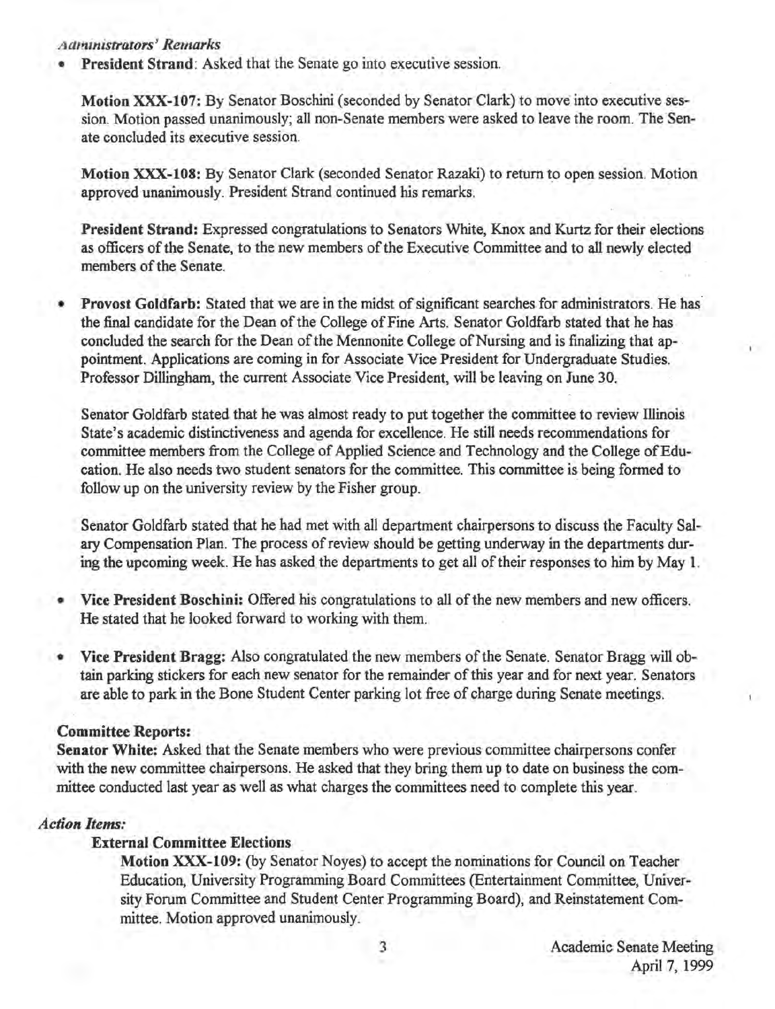## *Administ1'ators' Remarks*

President Strand: Asked that the Senate go into executive session.

Motion XXX-I07: By Senator Boschini (seconded by Senator Clark) to move into executive session. Motion passed unanimously; all non-Senate members were asked to leave the room. The Senate concluded its executive session.

Motion XXX-lOS: By Senator Clark (seconded Senator Razaki) to return to open session. Motion approved unanimously. President Strand continued his remarks.

President Strand: Expressed congratulations to Senators White, Knox and Kurtz for their elections as officers of the Senate, to the new members of the Executive Committee and to all newly elected members of the Senate.

• Provost Goldfarb: Stated that we are in the midst of significant searches for administrators. He has' the final candidate for the Dean of the College of Fine Arts. Senator Goldfarb stated that he has concluded the search for the Dean of the Mennonite College of Nursing and is finalizing that appointment. Applications are coming in for Associate Vice President for Undergraduate Studies. Professor Dillingham, the current Associate Vice President, will be leaving on June 30.

Senator Goldfarb stated that he was almost ready to put together the committee to review Illinois State's academic distinctiveness and agenda for excellence. He still needs recommendations for committee members from the College of Applied Science and Technology and the College of Education. He also needs two student senators for the committee. This committee is being formed to follow up on the university review by the Fisher group.

Senator Goldfarb stated that he had met with all department chairpersons to discuss the Faculty Salary Compensation Plan. The process of review should be getting underway in the departments during the upcoming week. He has asked the departments to get all of their responses to him by May 1.

- Vice President Boschini: Offered his congratulations to all of the new members and new officers. He stated that he looked forward to working with them.
- Vice President Bragg: Also congratulated the new members of the Senate. Senator Bragg will obtain parking stickers for each new senator for the remainder of this year and for next year. Senators are able to park in the Bone Student Center parking lot free of charge during Senate meetings.

### Committee Reports:

Senator White: Asked that the Senate members who were previous committee chairpersons confer with the new committee chairpersons. He asked that they bring them up to date on business the committee conducted last year as well as what charges the committees need to complete this year.

#### *Action Items:*

## External Committee Elections

Motion XXX-I09: (by Senator Noyes) to accept the nominations for Council on Teacher Education, University Programming Board Committees (Entertainment Committee, University Forum Committee and Student Center Programming Board), and Reinstatement Committee. Motion approved unanimously.

I ·